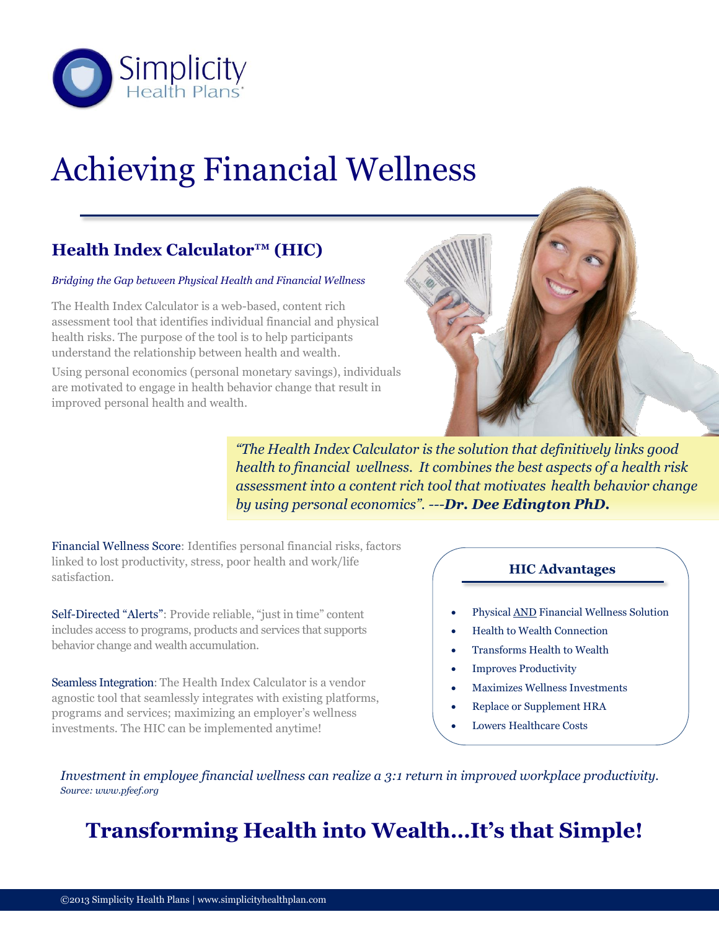

# Achieving Financial Wellness

#### **Health Index Calculator™ (HIC)**

#### *Bridging the Gap between Physical Health and Financial Wellness*

The Health Index Calculator is a web-based, content rich assessment tool that identifies individual financial and physical health risks. The purpose of the tool is to help participants understand the relationship between health and wealth.

Using personal economics (personal monetary savings), individuals are motivated to engage in health behavior change that result in improved personal health and wealth.



*"The Health Index Calculator is the solution that definitively links good health to financial wellness. It combines the best aspects of a health risk assessment into a content rich tool that motivates health behavior change by using personal economics". ---Dr. Dee Edington PhD.*

Financial Wellness Score: Identifies personal financial risks, factors linked to lost productivity, stress, poor health and work/life satisfaction.

Self-Directed "Alerts": Provide reliable, "just in time" content includes access to programs, products and services that supports behavior change and wealth accumulation.

Seamless Integration: The Health Index Calculator is a vendor agnostic tool that seamlessly integrates with existing platforms, programs and services; maximizing an employer's wellness investments. The HIC can be implemented anytime!

#### **HIC Advantages**

- Physical AND Financial Wellness Solution
- Health to Wealth Connection
- Transforms Health to Wealth
- Improves Productivity
- Maximizes Wellness Investments
- Replace or Supplement HRA
- Lowers Healthcare Costs

*Investment in employee financial wellness can realize a 3:1 return in improved workplace productivity. Source: www.pfeef.org*

# **Transforming Health into Wealth…It's that Simple!**